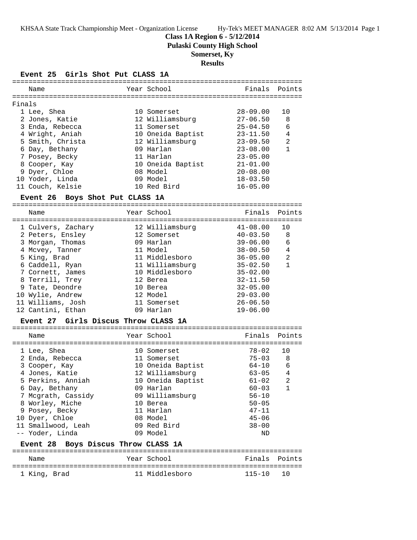**Class 1A Region 6 - 5/12/2014**

**Pulaski County High School**

## **Somerset, Ky**

## **Results**

**Event 25 Girls Shot Put CLASS 1A**

|        | Name                            | Year School       | Finals Points |                |
|--------|---------------------------------|-------------------|---------------|----------------|
| Finals |                                 |                   |               |                |
|        | 1 Lee, Shea                     | 10 Somerset       | 28-09.00      | 1 O            |
|        | 2 Jones, Katie                  | 12 Williamsburg   | $27 - 06.50$  | 8              |
|        |                                 | 11 Somerset       | $25 - 04.50$  | 6              |
|        | 3 Enda, Rebecca                 |                   |               |                |
|        | 4 Wright, Aniah                 | 10 Oneida Baptist | $23 - 11.50$  | 4              |
|        | 5 Smith, Christa                | 12 Williamsburg   | $23 - 09.50$  | $\mathfrak{D}$ |
|        | 6 Day, Bethany                  | 09 Harlan         | $23 - 08.00$  |                |
|        | 7 Posey, Becky                  | 11 Harlan         | $23 - 05.00$  |                |
|        | 8 Cooper, Kay                   | 10 Oneida Baptist | $21 - 01.00$  |                |
|        | 9 Dyer, Chloe                   | 08 Model          | $20 - 08.00$  |                |
|        | 10 Yoder, Linda                 | 09 Model          | $18 - 03.50$  |                |
|        | 11 Couch, Kelsie                | 10 Red Bird       | $16 - 05.00$  |                |
|        | Event 26 Boys Shot Put CLASS 1A |                   |               |                |
|        |                                 |                   |               |                |

| Name               | Year School     | Finals       | Points         |
|--------------------|-----------------|--------------|----------------|
| 1 Culvers, Zachary | 12 Williamsburg | $41 - 08.00$ | 10             |
| 2 Peters, Ensley   | 12 Somerset     | $40 - 03.50$ | 8              |
| 3 Morgan, Thomas   | 09 Harlan       | $39 - 06.00$ | 6              |
| 4 Mcvey, Tanner    | 11 Model        | $38 - 00.50$ | 4              |
| 5 King, Brad       | 11 Middlesboro  | $36 - 05.00$ | $\mathfrak{D}$ |
| 6 Caddell, Ryan    | 11 Williamsburg | $35 - 02.50$ |                |
| 7 Cornett, James   | 10 Middlesboro  | $35 - 02.00$ |                |
| 8 Terrill, Trey    | 12 Berea        | $32 - 11.50$ |                |
| 9 Tate, Deondre    | 10 Berea        | $32 - 05.00$ |                |
| 10 Wylie, Andrew   | 12 Model        | $29 - 03.00$ |                |
| 11 Williams, Josh  | 11 Somerset     | $26 - 06.50$ |                |
| 12 Cantini, Ethan  | 09 Harlan       | $19 - 06.00$ |                |

## **Event 27 Girls Discus Throw CLASS 1A**

| Finals Points<br>Year School<br>Name<br>$78 - 02$<br>1 O<br>1 Lee, Shea<br>10 Somerset<br>$75 - 03$<br>8<br>2 Enda, Rebecca<br>11 Somerset<br>10 Oneida Baptist<br>6<br>$64 - 10$<br>3 Cooper, Kay<br>4<br>4 Jones, Katie<br>12 Williamsburg<br>$63 - 05$<br>2<br>5 Perkins, Anniah<br>10 Oneida Baptist<br>$61 - 02$<br>$60 - 03$<br>6 Day, Bethany<br>09 Harlan<br>09 Williamsburg<br>7 Mcgrath, Cassidy<br>$56 - 10$<br>$50 - 05$<br>8 Worley, Miche<br>10 Berea<br>$47 - 11$<br>9 Posey, Becky<br>11 Harlan<br>08 Model<br>10 Dyer, Chloe |  |  |           |  |
|-----------------------------------------------------------------------------------------------------------------------------------------------------------------------------------------------------------------------------------------------------------------------------------------------------------------------------------------------------------------------------------------------------------------------------------------------------------------------------------------------------------------------------------------------|--|--|-----------|--|
|                                                                                                                                                                                                                                                                                                                                                                                                                                                                                                                                               |  |  |           |  |
| 09 Red Bird<br>$38 - 00$<br>11 Smallwood, Leah                                                                                                                                                                                                                                                                                                                                                                                                                                                                                                |  |  | $45 - 06$ |  |
| -- Yoder, Linda<br>Model<br>09.<br>ND                                                                                                                                                                                                                                                                                                                                                                                                                                                                                                         |  |  |           |  |

### **Event 28 Boys Discus Throw CLASS 1A**

| Name         |  | Year School    | Finals Points |  |
|--------------|--|----------------|---------------|--|
| 1 King, Brad |  | 11 Middlesboro | $115 - 10$ 10 |  |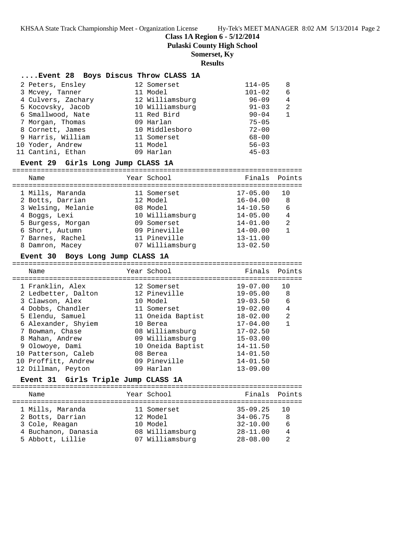**Class 1A Region 6 - 5/12/2014**

**Pulaski County High School**

## **Somerset, Ky**

**Results**

|                                                                                                                                                                                                           | $114 - 05$                                                                                                                                                                                 | 8 |
|-----------------------------------------------------------------------------------------------------------------------------------------------------------------------------------------------------------|--------------------------------------------------------------------------------------------------------------------------------------------------------------------------------------------|---|
|                                                                                                                                                                                                           | $101 - 02$                                                                                                                                                                                 | 6 |
|                                                                                                                                                                                                           | $96 - 09$                                                                                                                                                                                  | 4 |
|                                                                                                                                                                                                           | $91 - 03$                                                                                                                                                                                  | 2 |
|                                                                                                                                                                                                           | $90 - 04$                                                                                                                                                                                  |   |
|                                                                                                                                                                                                           | $75 - 05$                                                                                                                                                                                  |   |
|                                                                                                                                                                                                           | $72 - 00$                                                                                                                                                                                  |   |
|                                                                                                                                                                                                           | $68 - 00$                                                                                                                                                                                  |   |
|                                                                                                                                                                                                           | $56 - 03$                                                                                                                                                                                  |   |
|                                                                                                                                                                                                           | $45 - 03$                                                                                                                                                                                  |   |
| 2 Peters, Ensley<br>3 Mcvey, Tanner<br>4 Culvers, Zachary<br>5 Kocovsky, Jacob<br>6 Smallwood, Nate<br>7 Morgan, Thomas<br>8 Cornett, James<br>9 Harris, William<br>10 Yoder, Andrew<br>11 Cantini, Ethan | Event 28 Boys Discus Throw CLASS 1A<br>12 Somerset<br>11 Model<br>12 Williamsburg<br>10 Williamsburg<br>11 Red Bird<br>09 Harlan<br>10 Middlesboro<br>11 Somerset<br>11 Model<br>09 Harlan |   |

#### **Event 29 Girls Long Jump CLASS 1A**

======================================================================= Name The School Contract Points Points Points Points Points Points Points ======================================================================= 1 Mills, Maranda 11 Somerset 17-05.00 10 2 Botts, Darrian 12 Model 16-04.00 8 3 Welsing, Melanie 08 Model 14-10.50 6 4 Boggs, Lexi 10 Williamsburg 14-05.00 4 5 Burgess, Morgan 09 Somerset 14-01.00 2 6 Short, Autumn 09 Pineville 14-00.00 1 7 Barnes, Rachel 11 Pineville 13-11.00

8 Damron, Macey 07 Williamsburg 13-02.50

#### **Event 30 Boys Long Jump CLASS 1A**

======================================================================= Name Year School Finals Points ======================================================================= 1 Franklin, Alex 12 Somerset 19-07.00 10 2 Ledbetter, Dalton 12 Pineville 19-05.00 8 3 Clawson, Alex 10 Model 19-03.50 6 4 Dobbs, Chandler 11 Somerset 19-02.00 4 5 Elendu, Samuel 11 Oneida Baptist 18-02.00 2 6 Alexander, Shyiem 10 Berea 17-04.00 1 7 Bowman, Chase 08 Williamsburg 17-02.50 8 Mahan, Andrew 09 Williamsburg 15-03.00 9 Olowoye, Dami 10 Oneida Baptist 14-11.50 10 Patterson, Caleb 08 Berea 14-01.50 10 Proffitt, Andrew 09 Pineville 14-01.50 12 Dillman, Peyton 09 Harlan 13-09.00

### **Event 31 Girls Triple Jump CLASS 1A**

======================================================================= Name The Year School The Points Points ======================================================================= 1 Mills, Maranda 11 Somerset 35-09.25 10 2 Botts, Darrian 12 Model 34-06.75 8 3 Cole, Reagan 10 Model 32-10.00 6 4 Buchanon, Danasia 08 Williamsburg 28-11.00 4 5 Abbott, Lillie 07 Williamsburg 28-08.00 2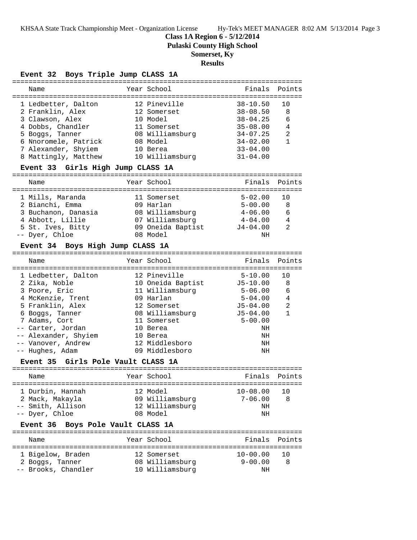**Class 1A Region 6 - 5/12/2014**

**Pulaski County High School**

# **Somerset, Ky**

# **Results**

**Event 32 Boys Triple Jump CLASS 1A**

| Name                                         |  | Year School       | Finals                       | Points         |  |  |  |
|----------------------------------------------|--|-------------------|------------------------------|----------------|--|--|--|
|                                              |  |                   |                              |                |  |  |  |
| 1 Ledbetter, Dalton                          |  | 12 Pineville      | $38 - 10.50$                 | 10             |  |  |  |
| 2 Franklin, Alex                             |  | 12 Somerset       | $38 - 08.50$                 | 8              |  |  |  |
| 3 Clawson, Alex                              |  | 10 Model          | $38 - 04.25$                 | 6              |  |  |  |
|                                              |  |                   |                              |                |  |  |  |
| 4 Dobbs, Chandler                            |  | 11 Somerset       | $35 - 08.00$                 | 4              |  |  |  |
| 5 Boggs, Tanner                              |  | 08 Williamsburg   | $34 - 07.25$                 | $\overline{a}$ |  |  |  |
| 6 Nnoromele, Patrick                         |  | 08 Model          | $34 - 02.00$                 | $\mathbf{1}$   |  |  |  |
| 7 Alexander, Shyiem                          |  | 10 Berea          | $33 - 04.00$                 |                |  |  |  |
| 8 Mattingly, Matthew                         |  | 10 Williamsburg   | $31 - 04.00$                 |                |  |  |  |
| Event 33 Girls High Jump CLASS 1A            |  |                   |                              |                |  |  |  |
| Name                                         |  | Year School       | Finals                       | Points         |  |  |  |
| 1 Mills, Maranda                             |  |                   | $5 - 02.00$                  | 10             |  |  |  |
|                                              |  | 11 Somerset       |                              |                |  |  |  |
| 2 Bianchi, Emma                              |  | 09 Harlan         | $5 - 00.00$                  | 8              |  |  |  |
| 3 Buchanon, Danasia                          |  | 08 Williamsburg   | $4 - 06.00$                  | 6              |  |  |  |
| 4 Abbott, Lillie                             |  | 07 Williamsburg   | $4 - 04.00$                  | 4              |  |  |  |
| 5 St. Ives, Bitty 69 Oneida Baptist 54-04.00 |  |                   |                              | 2              |  |  |  |
| -- Dyer, Chloe                               |  | 08 Model          | NH                           |                |  |  |  |
|                                              |  |                   |                              |                |  |  |  |
| Event 34 Boys High Jump CLASS 1A             |  |                   |                              |                |  |  |  |
|                                              |  |                   |                              |                |  |  |  |
| Name                                         |  | Year School       | Finals                       | Points         |  |  |  |
|                                              |  |                   | ============================ |                |  |  |  |
| 1 Ledbetter, Dalton                          |  | 12 Pineville      | $5 - 10.00$                  | 10             |  |  |  |
| 2 Zika, Noble                                |  | 10 Oneida Baptist | J5-10.00                     | 8              |  |  |  |
| 3 Poore, Eric                                |  | 11 Williamsburg   | $5 - 06.00$                  | 6              |  |  |  |
| 4 McKenzie, Trent                            |  | 09 Harlan         | $5 - 04.00$                  | 4              |  |  |  |
| 5 Franklin, Alex                             |  | 12 Somerset       | $J5 - 04.00$                 | 2              |  |  |  |
| 6 Boggs, Tanner                              |  | 08 Williamsburg   | $J5 - 04.00$                 | 1              |  |  |  |
|                                              |  |                   |                              |                |  |  |  |
| 7 Adams, Cort                                |  | 11 Somerset       | $5 - 00.00$                  |                |  |  |  |
| -- Carter, Jordan                            |  | 10 Berea          | NH                           |                |  |  |  |
| -- Alexander, Shyiem                         |  | 10 Berea          | NH                           |                |  |  |  |
| -- Vanover, Andrew                           |  | 12 Middlesboro    | NH                           |                |  |  |  |
| -- Hughes, Adam                              |  | 09 Middlesboro    | ΝH                           |                |  |  |  |
| Event 35 Girls Pole Vault CLASS 1A           |  |                   |                              |                |  |  |  |
|                                              |  |                   |                              |                |  |  |  |
| Name                                         |  | Year School       | Finals                       | Points         |  |  |  |
| 1 Durbin, Hannah                             |  | 12 Model          | $10 - 08.00$                 | 10             |  |  |  |
|                                              |  |                   |                              |                |  |  |  |
| 2 Mack, Makayla                              |  | 09 Williamsburg   | $7 - 06.00$                  | 8              |  |  |  |
| -- Smith, Allison                            |  | 12 Williamsburg   | NH                           |                |  |  |  |
| -- Dyer, Chloe                               |  | 08 Model          | NH                           |                |  |  |  |
| Boys Pole Vault CLASS 1A<br><b>Event 36</b>  |  |                   |                              |                |  |  |  |
| Name                                         |  | Year School       | Finals                       | Points         |  |  |  |
|                                              |  |                   |                              |                |  |  |  |
| 1 Bigelow, Braden                            |  | 12 Somerset       | $10 - 00.00$                 | 10             |  |  |  |
| 2 Boggs, Tanner                              |  | 08 Williamsburg   | $9 - 00.00$                  | 8              |  |  |  |
| -- Brooks, Chandler                          |  | 10 Williamsburg   | NH                           |                |  |  |  |